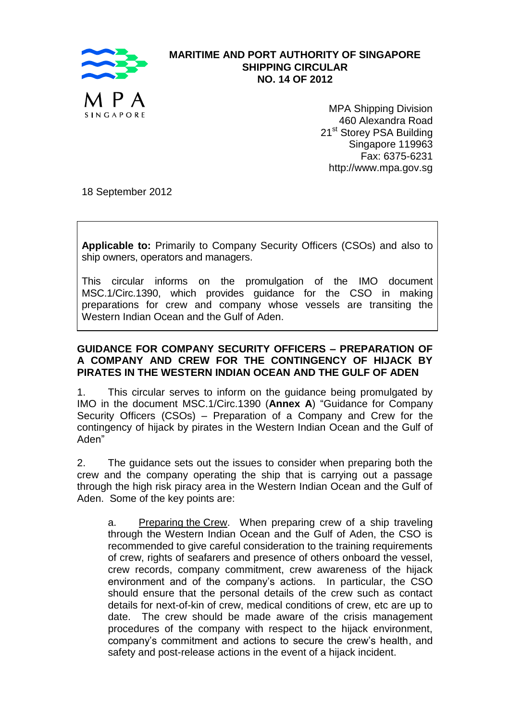

## **MARITIME AND PORT AUTHORITY OF SINGAPORE SHIPPING CIRCULAR NO. 14 OF 2012**

MPA Shipping Division 460 Alexandra Road 21<sup>st</sup> Storey PSA Building Singapore 119963 Fax: 6375-6231 http://www.mpa.gov.sg

18 September 2012

**Applicable to:** Primarily to Company Security Officers (CSOs) and also to ship owners, operators and managers.

This circular informs on the promulgation of the IMO document MSC.1/Circ.1390, which provides guidance for the CSO in making preparations for crew and company whose vessels are transiting the Western Indian Ocean and the Gulf of Aden.

## **GUIDANCE FOR COMPANY SECURITY OFFICERS – PREPARATION OF A COMPANY AND CREW FOR THE CONTINGENCY OF HIJACK BY PIRATES IN THE WESTERN INDIAN OCEAN AND THE GULF OF ADEN**

1. This circular serves to inform on the guidance being promulgated by IMO in the document MSC.1/Circ.1390 (**Annex A**) "Guidance for Company Security Officers (CSOs) – Preparation of a Company and Crew for the contingency of hijack by pirates in the Western Indian Ocean and the Gulf of Aden"

2. The guidance sets out the issues to consider when preparing both the crew and the company operating the ship that is carrying out a passage through the high risk piracy area in the Western Indian Ocean and the Gulf of Aden. Some of the key points are:

a. Preparing the Crew. When preparing crew of a ship traveling through the Western Indian Ocean and the Gulf of Aden, the CSO is recommended to give careful consideration to the training requirements of crew, rights of seafarers and presence of others onboard the vessel, crew records, company commitment, crew awareness of the hijack environment and of the company's actions. In particular, the CSO should ensure that the personal details of the crew such as contact details for next-of-kin of crew, medical conditions of crew, etc are up to date. The crew should be made aware of the crisis management procedures of the company with respect to the hijack environment, company's commitment and actions to secure the crew's health, and safety and post-release actions in the event of a hijack incident.